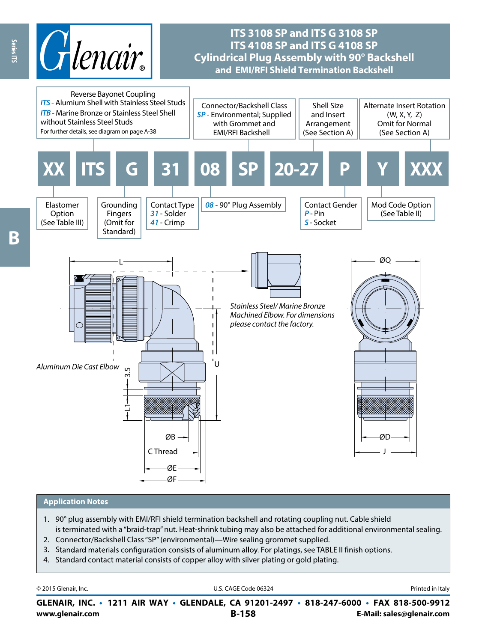

## **ITS 3108 SP and ITS G 3108 SP ITS 4108 SP and ITS G 4108 SP Cylindrical Plug Assembly with 90° Backshell and EMI/RFI Shield Termination Backshell**



#### **Application Notes**

- 1. 90° plug assembly with EMI/RFI shield termination backshell and rotating coupling nut. Cable shield is terminated with a "braid-trap" nut. Heat-shrink tubing may also be attached for additional environmental sealing.
- 2. Connector/Backshell Class "SP" (environmental)—Wire sealing grommet supplied.
- 3. Standard materials configuration consists of aluminum alloy. For platings, see TABLE II finish options.
- 4. Standard contact material consists of copper alloy with silver plating or gold plating.

| © 2015 Glenair, Inc. | U.S. CAGE Code 06324                                                                     | Printed in Italy          |  |  |
|----------------------|------------------------------------------------------------------------------------------|---------------------------|--|--|
|                      | GLENAIR, INC. • 1211 AIR WAY • GLENDALE, CA 91201-2497 • 818-247-6000 • FAX 818-500-9912 |                           |  |  |
| www.glenair.com      | $B-158$                                                                                  | E-Mail: sales@glenair.com |  |  |